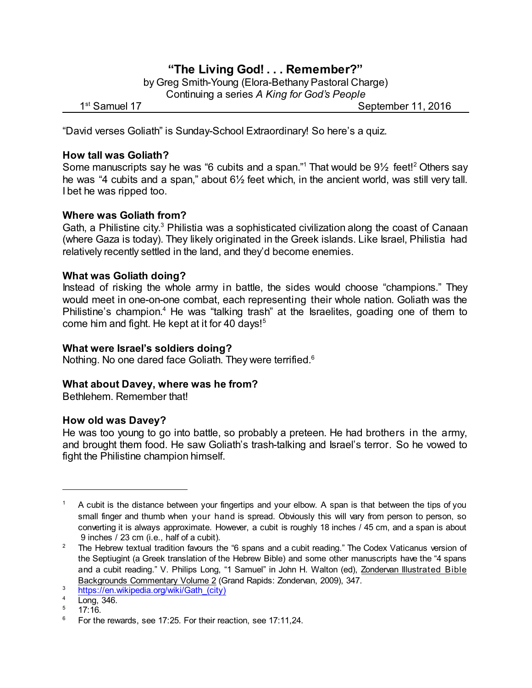# **"The Living God! . . . Remember?"**

by Greg Smith-Young (Elora-Bethany Pastoral Charge) Continuing a series *A King for God's People*

1<sup>st</sup> Samuel 17

September 11, 2016

"David verses Goliath" is Sunday-School Extraordinary! So here's a quiz.

# **How tall was Goliath?**

Some manuscripts say he was "6 cubits and a span."1 That would be  $9\frac{1}{2}$  feet!<sup>2</sup> Others say he was "4 cubits and a span," about 6½ feet which, in the ancient world, was still very tall. I bet he was ripped too.

# **Where was Goliath from?**

Gath, a Philistine city. $3$  Philistia was a sophisticated civilization along the coast of Canaan (where Gaza is today). They likely originated in the Greek islands. Like Israel, Philistia had relatively recently settled in the land, and they'd become enemies.

# **What was Goliath doing?**

Instead of risking the whole army in battle, the sides would choose "champions." They would meet in one-on-one combat, each representing their whole nation. Goliath was the Philistine's champion.<sup>4</sup> He was "talking trash" at the Israelites, goading one of them to come him and fight. He kept at it for 40 days! 5

# **What were Israel's soldiers doing?**

Nothing. No one dared face Goliath. They were terrified.<sup>6</sup>

# **What about Davey, where was he from?**

Bethlehem. Remember that!

# **How old was Davey?**

He was too young to go into battle, so probably a preteen. He had brothers in the army, and brought them food. He saw Goliath's trash-talking and Israel's terror. So he vowed to fight the Philistine champion himself.

<sup>1</sup> A cubit is the distance between your fingertips and your elbow. A span is that between the tips of you small finger and thumb when your hand is spread. Obviously this will vary from person to person, so converting it is always approximate. However, a cubit is roughly 18 inches / 45 cm, and a span is about 9 inches / 23 cm (i.e., half of a cubit).

<sup>&</sup>lt;sup>2</sup> The Hebrew textual tradition favours the "6 spans and a cubit reading." The Codex Vaticanus version of the Septiugint (a Greek translation of the Hebrew Bible) and some other manuscripts have the "4 spans and a cubit reading." V. Philips Long, "1 Samuel" in John H. Walton (ed), Zondervan Illustrated Bible Backgrounds Commentary Volume 2 (Grand Rapids: Zondervan, 2009), 347.

<sup>&</sup>lt;sup>3</sup> https://en.wikipedia.org/wiki/Gath (city)

<sup>4</sup> Long, 346.

<sup>17:16.</sup> 

 $6$  For the rewards, see 17:25. For their reaction, see 17:11,24.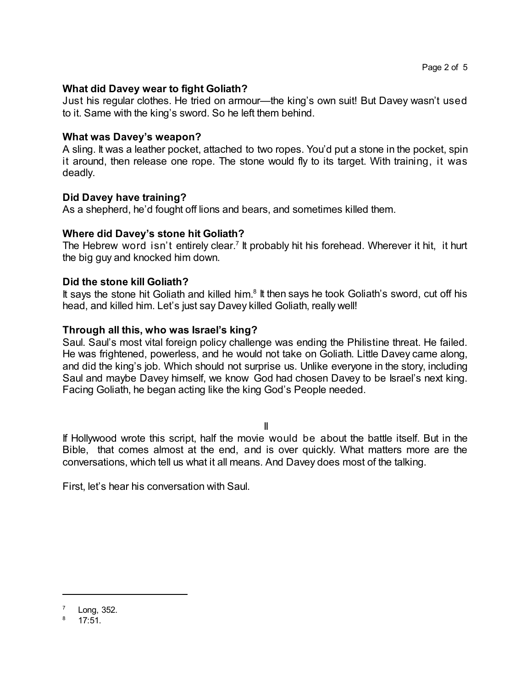#### **What did Davey wear to fight Goliath?**

Just his regular clothes. He tried on armour—the king's own suit! But Davey wasn't used to it. Same with the king's sword. So he left them behind.

#### **What was Davey's weapon?**

A sling. It was a leather pocket, attached to two ropes. You'd put a stone in the pocket, spin it around, then release one rope. The stone would fly to its target. With training, it was deadly.

#### **Did Davey have training?**

As a shepherd, he'd fought off lions and bears, and sometimes killed them.

#### **Where did Davey's stone hit Goliath?**

The Hebrew word isn't entirely clear.<sup>7</sup> It probably hit his forehead. Wherever it hit, it hurt the big guy and knocked him down.

# **Did the stone kill Goliath?**

It says the stone hit Goliath and killed him.<sup>8</sup> It then says he took Goliath's sword, cut off his head, and killed him. Let's just say Davey killed Goliath, really well!

#### **Through all this, who was Israel's king?**

Saul. Saul's most vital foreign policy challenge was ending the Philistine threat. He failed. He was frightened, powerless, and he would not take on Goliath. Little Davey came along, and did the king's job. Which should not surprise us. Unlike everyone in the story, including Saul and maybe Davey himself, we know God had chosen Davey to be Israel's next king. Facing Goliath, he began acting like the king God's People needed.

II

If Hollywood wrote this script, half the movie would be about the battle itself. But in the Bible, that comes almost at the end, and is over quickly. What matters more are the conversations, which tell us what it all means. And Davey does most of the talking.

First, let's hear his conversation with Saul.

Long, 352.

<sup>8</sup> 17:51.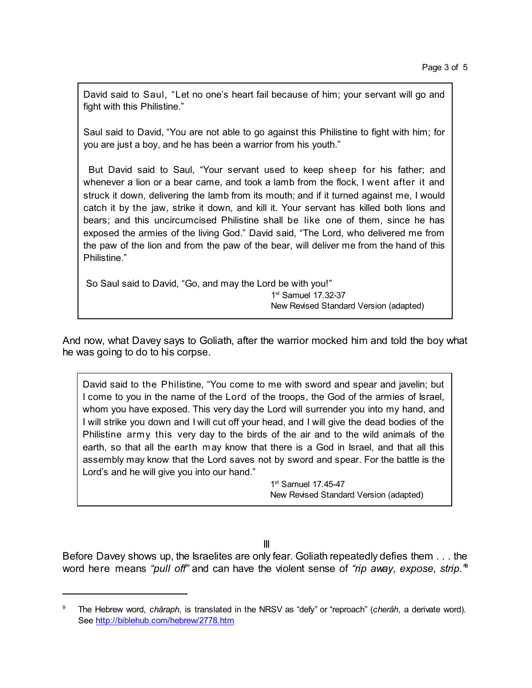David said to Saul, "Let no one's heart fail because of him; your servant will go and fight with this Philistine."

Saul said to David, "You are not able to go against this Philistine to fight with him; for you are just a boy, and he has been a warrior from his youth."

But David said to Saul, "Your servant used to keep sheep for his father; and whenever a lion or a bear came, and took a lamb from the flock, I went after it and struck it down, delivering the lamb from its mouth; and if it turned against me, I would catch it by the jaw, strike it down, and kill it. Your servant has killed both lions and bears; and this uncircumcised Philistine shall be like one of them, since he has exposed the armies of the living God." David said, "The Lord, who delivered me from the paw of the lion and from the paw of the bear, will deliver me from the hand of this Philistine."

So Saul said to David, "Go, and may the Lord be with you!" 1 st Samuel 17.32-37

New Revised Standard Version (adapted)

And now, what Davey says to Goliath, after the warrior mocked him and told the boy what he was going to do to his corpse.

David said to the Philistine, "You come to me with sword and spear and javelin; but I come to you in the name of the Lord of the troops, the God of the armies of Israel, whom you have exposed. This very day the Lord will surrender you into my hand, and I will strike you down and I will cut off your head, and I will give the dead bodies of the Philistine army this very day to the birds of the air and to the wild animals of the earth, so that all the earth may know that there is a God in Israel, and that all this assembly may know that the Lord saves not by sword and spear. For the battle is the Lord's and he will give you into our hand."

> 1 st Samuel 17.45-47 New Revised Standard Version (adapted)

III

Before Davey shows up, the Israelites are only fear. Goliath repeatedly defies them . . . the word here means *"pull off"* and can have the violent sense of *"rip away, expose, strip."* 9

<sup>9</sup> The Hebrew word, *châraph*, is translated in the NRSV as "defy" or "reproach" (*cherâh*, a derivate word). See <http://biblehub.com/hebrew/2778.htm>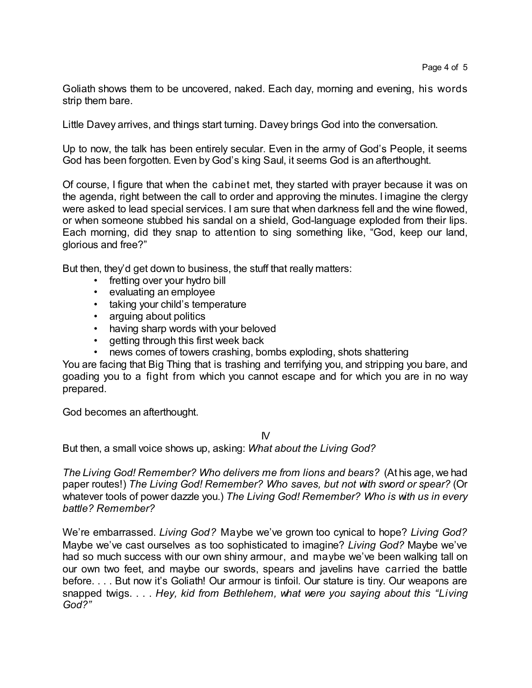Goliath shows them to be uncovered, naked. Each day, morning and evening, his words strip them bare.

Little Davey arrives, and things start turning. Davey brings God into the conversation.

Up to now, the talk has been entirely secular. Even in the army of God's People, it seems God has been forgotten. Even by God's king Saul, it seems God is an afterthought.

Of course, I figure that when the cabinet met, they started with prayer because it was on the agenda, right between the call to order and approving the minutes. I imagine the clergy were asked to lead special services. I am sure that when darkness fell and the wine flowed, or when someone stubbed his sandal on a shield, God-language exploded from their lips. Each morning, did they snap to attention to sing something like, "God, keep our land, glorious and free?"

But then, they'd get down to business, the stuff that really matters:

- fretting over your hydro bill
- evaluating an employee
- taking your child's temperature
- arguing about politics
- having sharp words with your beloved
- getting through this first week back
- news comes of towers crashing, bombs exploding, shots shattering

You are facing that Big Thing that is trashing and terrifying you, and stripping you bare, and goading you to a fight from which you cannot escape and for which you are in no way prepared.

God becomes an afterthought.

IV

But then, a small voice shows up, asking: *What about the Living God?*

*The Living God! Remember? Who delivers me from lions and bears?* (At his age, we had paper routes!) *The Living God! Remember? Who saves, but not with sword or spear?* (Or whatever tools of power dazzle you.) *The Living God! Remember? Who is with us in every battle? Remember?*

We're embarrassed. *Living God?* Maybe we've grown too cynical to hope? *Living God?* Maybe we've cast ourselves as too sophisticated to imagine? *Living God?* Maybe we've had so much success with our own shiny armour, and maybe we've been walking tall on our own two feet, and maybe our swords, spears and javelins have carried the battle before. . . . But now it's Goliath! Our armour is tinfoil. Our stature is tiny. Our weapons are snapped twigs. . . . *Hey, kid from Bethlehem, what were you saying about this "Living God?"*